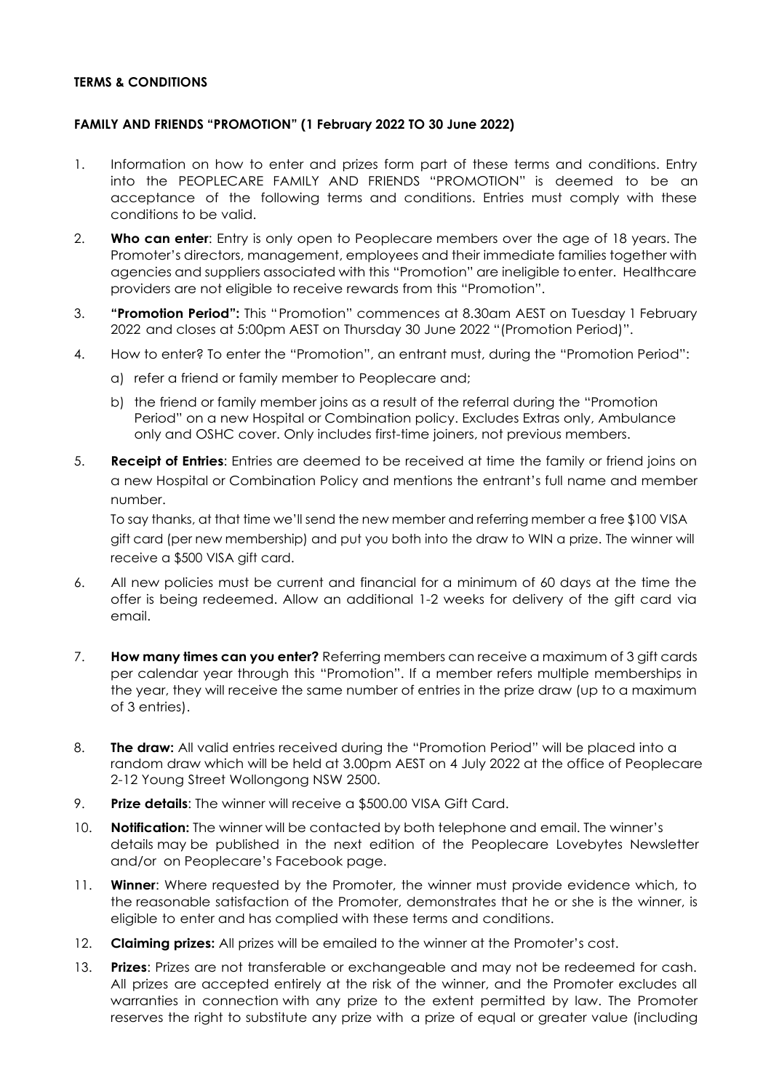## **TERMS & CONDITIONS**

## **FAMILY AND FRIENDS "PROMOTION" (1 February 2022 TO 30 June 2022)**

- 1. Information on how to enter and prizes form part of these terms and conditions. Entry into the PEOPLECARE FAMILY AND FRIENDS "PROMOTION" is deemed to be an acceptance of the following terms and conditions. Entries must comply with these conditions to be valid.
- 2. **Who can enter**: Entry is only open to Peoplecare members over the age of 18 years. The Promoter's directors, management, employees and their immediate families together with agencies and suppliers associated with this "Promotion" are ineligible to enter. Healthcare providers are not eligible to receive rewards from this "Promotion".
- 3. **"Promotion Period":** This "Promotion" commences at 8.30am AEST on Tuesday 1 February 2022 and closes at 5:00pm AEST on Thursday 30 June 2022 "(Promotion Period)".
- 4. How to enter? To enter the "Promotion", an entrant must, during the "Promotion Period":
	- a) refer a friend or family member to Peoplecare and;
	- b) the friend or family member joins as a result of the referral during the "Promotion Period" on a new Hospital or Combination policy. Excludes Extras only, Ambulance only and OSHC cover. Only includes first-time joiners, not previous members.
- 5. **Receipt of Entries**: Entries are deemed to be received at time the family or friend joins on a new Hospital or Combination Policy and mentions the entrant's full name and member number.

To say thanks, at that time we'll send the new member and referring member a free \$100 VISA gift card (per new membership) and put you both into the draw to WIN a prize. The winner will receive a \$500 VISA gift card.

- 6. All new policies must be current and financial for a minimum of 60 days at the time the offer is being redeemed. Allow an additional 1-2 weeks for delivery of the gift card via email.
- 7. **How many times can you enter?** Referring members can receive a maximum of 3 gift cards per calendar year through this "Promotion". If a member refers multiple memberships in the year, they will receive the same number of entries in the prize draw (up to a maximum of 3 entries).
- 8. **The draw:** All valid entries received during the "Promotion Period" will be placed into a random draw which will be held at 3.00pm AEST on 4 July 2022 at the office of Peoplecare 2-12 Young Street Wollongong NSW 2500.
- 9. **Prize details**: The winner will receive a \$500.00 VISA Gift Card.
- 10. **Notification:** The winner will be contacted by both telephone and email. The winner's details may be published in the next edition of the Peoplecare Lovebytes Newsletter and/or on Peoplecare's Facebook page.
- 11. **Winner**: Where requested by the Promoter, the winner must provide evidence which, to the reasonable satisfaction of the Promoter, demonstrates that he or she is the winner, is eligible to enter and has complied with these terms and conditions.
- 12. **Claiming prizes:** All prizes will be emailed to the winner at the Promoter's cost.
- 13. **Prizes**: Prizes are not transferable or exchangeable and may not be redeemed for cash. All prizes are accepted entirely at the risk of the winner, and the Promoter excludes all warranties in connection with any prize to the extent permitted by law. The Promoter reserves the right to substitute any prize with a prize of equal or greater value (including